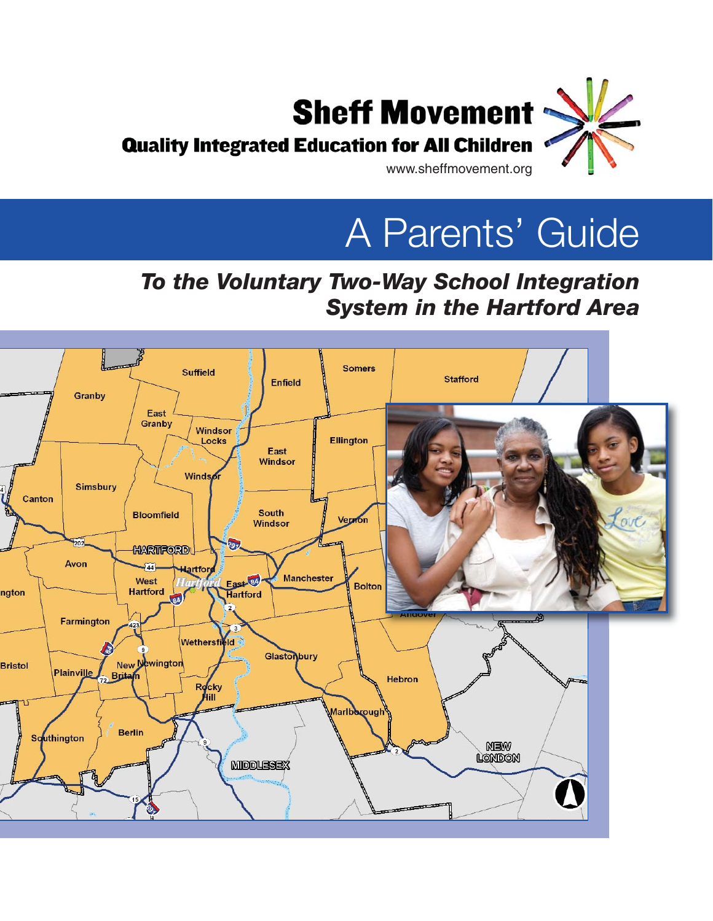

A Parents' Guide

## *To the Voluntary Two-Way School Integration System in the Hartford Area*

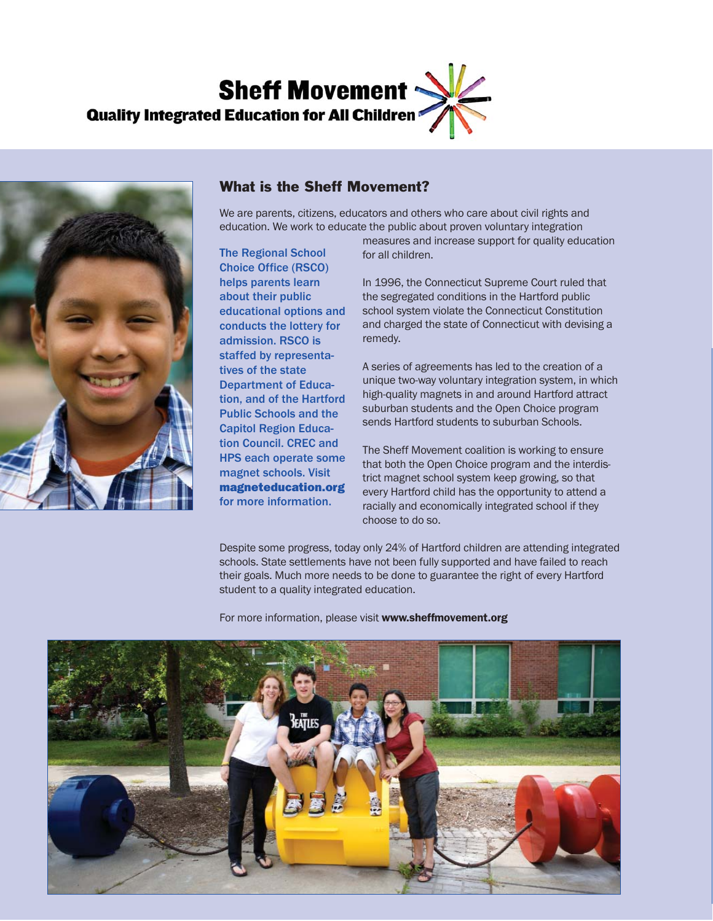



### What is the Sheff Movement?

We are parents, citizens, educators and others who care about civil rights and education. We work to educate the public about proven voluntary integration

The Regional School Choice Office (RSCO) helps parents learn about their public educational options and conducts the lottery for admission. RSCO is staffed by representatives of the state Department of Education, and of the Hartford Public Schools and the Capitol Region Education Council. CREC and HPS each operate some magnet schools. Visit magneteducation.org for more information.

measures and increase support for quality education for all children.

In 1996, the Connecticut Supreme Court ruled that the segregated conditions in the Hartford public school system violate the Connecticut Constitution and charged the state of Connecticut with devising a remedy.

A series of agreements has led to the creation of a unique two-way voluntary integration system, in which high-quality magnets in and around Hartford attract suburban students and the Open Choice program sends Hartford students to suburban Schools.

The Sheff Movement coalition is working to ensure that both the Open Choice program and the interdistrict magnet school system keep growing, so that every Hartford child has the opportunity to attend a racially and economically integrated school if they choose to do so.

Despite some progress, today only 24% of Hartford children are attending integrated schools. State settlements have not been fully supported and have failed to reach their goals. Much more needs to be done to guarantee the right of every Hartford student to a quality integrated education.

For more information, please visit www.sheffmovement.org

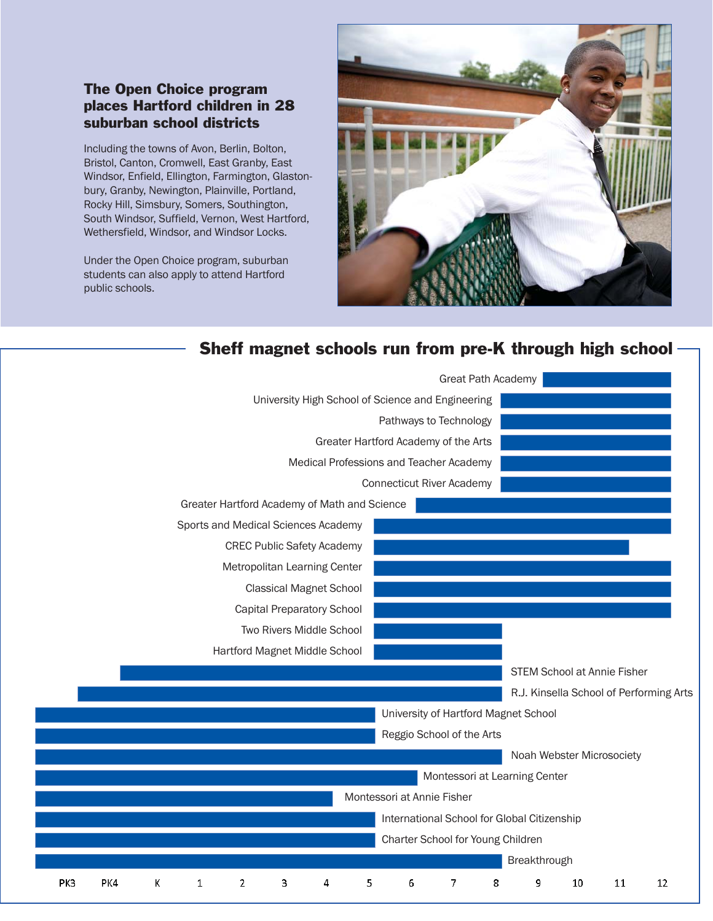### The Open Choice program places Hartford children in 28 suburban school districts

Including the towns of Avon, Berlin, Bolton, Bristol, Canton, Cromwell, East Granby, East Windsor, Enfield, Ellington, Farmington, Glastonbury, Granby, Newington, Plainville, Portland, Rocky Hill, Simsbury, Somers, Southington, South Windsor, Suffield, Vernon, West Hartford, Wethersfield, Windsor, and Windsor Locks.

Under the Open Choice program, suburban students can also apply to attend Hartford public schools.



### Sheff magnet schools run from pre-K through high school

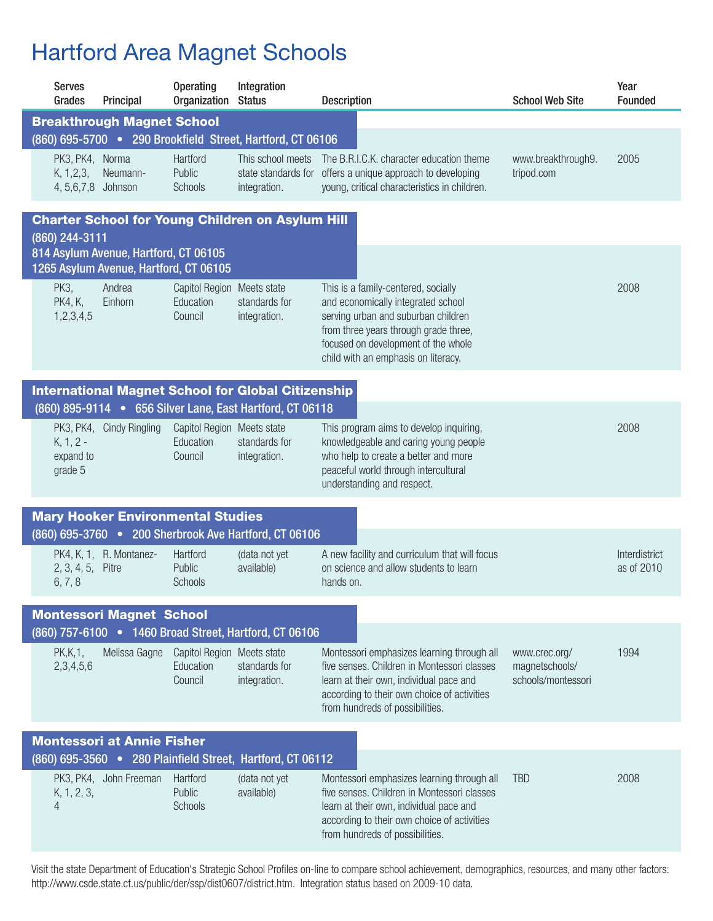# Hartford Area Magnet Schools

|                                                                                           | <b>Serves</b><br>Grades                                 | Principal                                                                       | <b>Operating</b><br>Organization Status            | Integration                                                | <b>Description</b>                                                                                                                                                                                                                      | <b>School Web Site</b>                                | Year<br><b>Founded</b>      |  |
|-------------------------------------------------------------------------------------------|---------------------------------------------------------|---------------------------------------------------------------------------------|----------------------------------------------------|------------------------------------------------------------|-----------------------------------------------------------------------------------------------------------------------------------------------------------------------------------------------------------------------------------------|-------------------------------------------------------|-----------------------------|--|
|                                                                                           |                                                         | <b>Breakthrough Magnet School</b>                                               |                                                    |                                                            |                                                                                                                                                                                                                                         |                                                       |                             |  |
|                                                                                           |                                                         |                                                                                 |                                                    | (860) 695-5700 . 290 Brookfield Street, Hartford, CT 06106 |                                                                                                                                                                                                                                         |                                                       |                             |  |
|                                                                                           | PK3, PK4, Norma<br>K, 1, 2, 3,<br>4, 5, 6, 7, 8 Johnson | Neumann-                                                                        | Hartford<br>Public<br>Schools                      | This school meets<br>state standards for<br>integration.   | The B.R.I.C.K. character education theme<br>offers a unique approach to developing<br>young, critical characteristics in children.                                                                                                      | www.breakthrough9.<br>tripod.com                      | 2005                        |  |
|                                                                                           | (860) 244-3111                                          |                                                                                 |                                                    | <b>Charter School for Young Children on Asylum Hill</b>    |                                                                                                                                                                                                                                         |                                                       |                             |  |
|                                                                                           |                                                         | 814 Asylum Avenue, Hartford, CT 06105<br>1265 Asylum Avenue, Hartford, CT 06105 |                                                    |                                                            |                                                                                                                                                                                                                                         |                                                       |                             |  |
|                                                                                           | PK3,<br><b>PK4, K,</b><br>1,2,3,4,5                     | Andrea<br>Einhorn                                                               | Capitol Region Meets state<br>Education<br>Council | standards for<br>integration.                              | This is a family-centered, socially<br>and economically integrated school<br>serving urban and suburban children<br>from three years through grade three,<br>focused on development of the whole<br>child with an emphasis on literacy. |                                                       | 2008                        |  |
|                                                                                           |                                                         |                                                                                 |                                                    | <b>International Magnet School for Global Citizenship</b>  |                                                                                                                                                                                                                                         |                                                       |                             |  |
|                                                                                           |                                                         |                                                                                 |                                                    | (860) 895-9114 . 656 Silver Lane, East Hartford, CT 06118  |                                                                                                                                                                                                                                         |                                                       |                             |  |
|                                                                                           | $K, 1, 2 -$<br>expand to<br>grade 5                     | PK3, PK4, Cindy Ringling                                                        | Capitol Region Meets state<br>Education<br>Council | standards for<br>integration.                              | This program aims to develop inquiring,<br>knowledgeable and caring young people<br>who help to create a better and more<br>peaceful world through intercultural<br>understanding and respect.                                          |                                                       | 2008                        |  |
|                                                                                           |                                                         | <b>Mary Hooker Environmental Studies</b>                                        |                                                    |                                                            |                                                                                                                                                                                                                                         |                                                       |                             |  |
|                                                                                           |                                                         |                                                                                 |                                                    | (860) 695-3760 • 200 Sherbrook Ave Hartford, CT 06106      |                                                                                                                                                                                                                                         |                                                       |                             |  |
|                                                                                           | 2, 3, 4, 5, Pitre<br>6, 7, 8                            | PK4, K, 1, R. Montanez-                                                         | Hartford<br>Public<br>Schools                      | (data not yet<br>available)                                | A new facility and curriculum that will focus<br>on science and allow students to learn<br>hands on.                                                                                                                                    |                                                       | Interdistrict<br>as of 2010 |  |
|                                                                                           |                                                         |                                                                                 |                                                    |                                                            |                                                                                                                                                                                                                                         |                                                       |                             |  |
| <b>Montessori Magnet School</b><br>(860) 757-6100 • 1460 Broad Street, Hartford, CT 06106 |                                                         |                                                                                 |                                                    |                                                            |                                                                                                                                                                                                                                         |                                                       |                             |  |
|                                                                                           | PK, K, 1,<br>2,3,4,5,6                                  | Melissa Gagne                                                                   | Capitol Region Meets state<br>Education<br>Council | standards for<br>integration.                              | Montessori emphasizes learning through all<br>five senses. Children in Montessori classes<br>learn at their own, individual pace and<br>according to their own choice of activities<br>from hundreds of possibilities.                  | www.crec.org/<br>magnetschools/<br>schools/montessori | 1994                        |  |
|                                                                                           |                                                         | <b>Montessori at Annie Fisher</b>                                               |                                                    |                                                            |                                                                                                                                                                                                                                         |                                                       |                             |  |
|                                                                                           |                                                         |                                                                                 |                                                    | (860) 695-3560 • 280 Plainfield Street, Hartford, CT 06112 |                                                                                                                                                                                                                                         |                                                       |                             |  |
|                                                                                           | K, 1, 2, 3,<br>$\overline{4}$                           | PK3, PK4, John Freeman                                                          | Hartford<br>Public<br>Schools                      | (data not yet<br>available)                                | Montessori emphasizes learning through all<br>five senses. Children in Montessori classes<br>learn at their own, individual pace and<br>according to their own choice of activities<br>from hundreds of possibilities.                  | <b>TBD</b>                                            | 2008                        |  |
|                                                                                           |                                                         |                                                                                 |                                                    |                                                            |                                                                                                                                                                                                                                         |                                                       |                             |  |

Visit the state Department of Education's Strategic School Profiles on-line to compare school achievement, demographics, resources, and many other factors: http://www.csde.state.ct.us/public/der/ssp/dist0607/district.htm. Integration status based on 2009-10 data.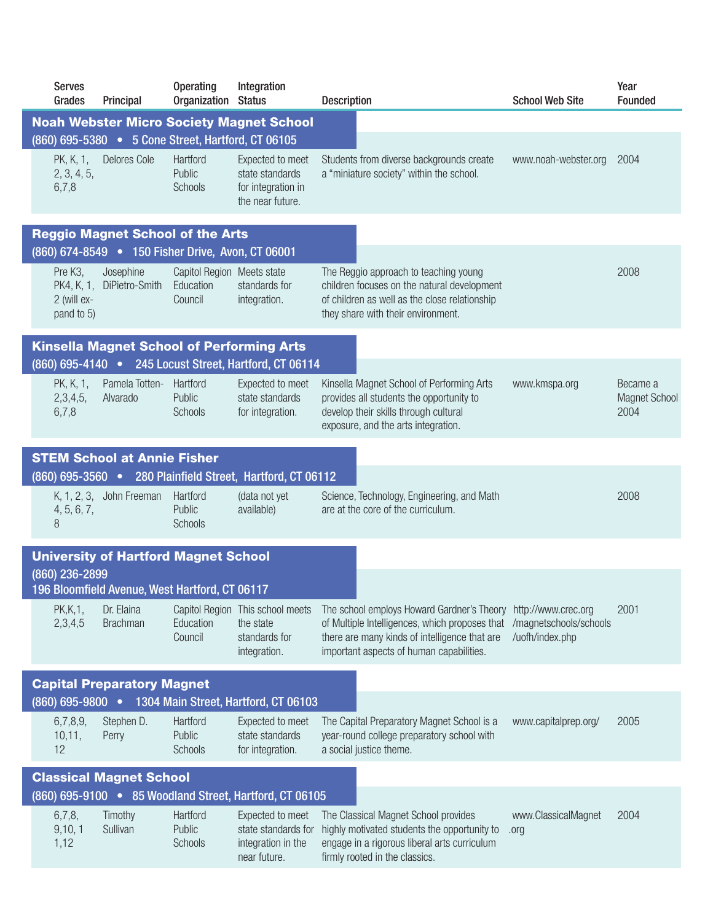|                                                         | <b>Serves</b><br>Grades                                              | Principal                                                                                    | <b>Operating</b><br>Organization Status | Integration                                                                    | <b>Description</b>                                                                                                                                                                        | <b>School Web Site</b>                                           | Year<br><b>Founded</b>                   |  |  |
|---------------------------------------------------------|----------------------------------------------------------------------|----------------------------------------------------------------------------------------------|-----------------------------------------|--------------------------------------------------------------------------------|-------------------------------------------------------------------------------------------------------------------------------------------------------------------------------------------|------------------------------------------------------------------|------------------------------------------|--|--|
|                                                         |                                                                      |                                                                                              |                                         | <b>Noah Webster Micro Society Magnet School</b>                                |                                                                                                                                                                                           |                                                                  |                                          |  |  |
|                                                         |                                                                      | (860) 695-5380 • 5 Cone Street, Hartford, CT 06105                                           |                                         |                                                                                |                                                                                                                                                                                           |                                                                  |                                          |  |  |
|                                                         | PK, K, 1,<br>2, 3, 4, 5,<br>6,7,8                                    | Delores Cole                                                                                 | Hartford<br>Public<br>Schools           | Expected to meet<br>state standards<br>for integration in<br>the near future.  | Students from diverse backgrounds create<br>a "miniature society" within the school.                                                                                                      | www.noah-webster.org                                             | 2004                                     |  |  |
|                                                         |                                                                      | <b>Reggio Magnet School of the Arts</b><br>(860) 674-8549 • 150 Fisher Drive, Avon, CT 06001 |                                         |                                                                                |                                                                                                                                                                                           |                                                                  |                                          |  |  |
|                                                         | Pre K <sub>3</sub> ,                                                 | Josephine                                                                                    | Capitol Region Meets state              |                                                                                | The Reggio approach to teaching young                                                                                                                                                     |                                                                  | 2008                                     |  |  |
|                                                         | PK4, K, 1,<br>2 (will ex-<br>pand to 5)                              | DiPietro-Smith                                                                               | Education<br>Council                    | standards for<br>integration.                                                  | children focuses on the natural development<br>of children as well as the close relationship<br>they share with their environment.                                                        |                                                                  |                                          |  |  |
|                                                         |                                                                      |                                                                                              |                                         | <b>Kinsella Magnet School of Performing Arts</b>                               |                                                                                                                                                                                           |                                                                  |                                          |  |  |
|                                                         |                                                                      |                                                                                              |                                         | (860) 695-4140 . 245 Locust Street, Hartford, CT 06114                         |                                                                                                                                                                                           |                                                                  |                                          |  |  |
|                                                         | PK, K, 1,<br>2,3,4,5,<br>6,7,8                                       | Pamela Totten-<br>Alvarado                                                                   | Hartford<br>Public<br>Schools           | Expected to meet<br>state standards<br>for integration.                        | Kinsella Magnet School of Performing Arts<br>provides all students the opportunity to<br>develop their skills through cultural<br>exposure, and the arts integration.                     | www.kmspa.org                                                    | Became a<br><b>Magnet School</b><br>2004 |  |  |
|                                                         |                                                                      | <b>STEM School at Annie Fisher</b>                                                           |                                         |                                                                                |                                                                                                                                                                                           |                                                                  |                                          |  |  |
|                                                         |                                                                      |                                                                                              |                                         | (860) 695-3560 • 280 Plainfield Street, Hartford, CT 06112                     |                                                                                                                                                                                           |                                                                  |                                          |  |  |
|                                                         | 4, 5, 6, 7,<br>8                                                     | K, 1, 2, 3, John Freeman                                                                     | Hartford<br>Public<br><b>Schools</b>    | (data not yet<br>available)                                                    | Science, Technology, Engineering, and Math<br>are at the core of the curriculum.                                                                                                          |                                                                  | 2008                                     |  |  |
|                                                         |                                                                      | <b>University of Hartford Magnet School</b>                                                  |                                         |                                                                                |                                                                                                                                                                                           |                                                                  |                                          |  |  |
|                                                         | (860) 236-2899                                                       |                                                                                              |                                         |                                                                                |                                                                                                                                                                                           |                                                                  |                                          |  |  |
|                                                         |                                                                      | 196 Bloomfield Avenue, West Hartford, CT 06117                                               |                                         |                                                                                |                                                                                                                                                                                           |                                                                  |                                          |  |  |
|                                                         | PK, K, 1,<br>2,3,4,5                                                 | Dr. Elaina<br><b>Brachman</b>                                                                | Education<br>Council                    | Capitol Region This school meets<br>the state<br>standards for<br>integration. | The school employs Howard Gardner's Theory<br>of Multiple Intelligences, which proposes that<br>there are many kinds of intelligence that are<br>important aspects of human capabilities. | http://www.crec.org<br>/magnetschools/schools<br>/uofh/index.php | 2001                                     |  |  |
|                                                         | <b>Capital Preparatory Magnet</b>                                    |                                                                                              |                                         |                                                                                |                                                                                                                                                                                           |                                                                  |                                          |  |  |
|                                                         | $(860) 695 - 9800$ $\bullet$<br>1304 Main Street, Hartford, CT 06103 |                                                                                              |                                         |                                                                                |                                                                                                                                                                                           |                                                                  |                                          |  |  |
|                                                         | 6,7,8,9,<br>10,11,<br>12                                             | Stephen D.<br>Perry                                                                          | Hartford<br>Public<br><b>Schools</b>    | Expected to meet<br>state standards<br>for integration.                        | The Capital Preparatory Magnet School is a<br>year-round college preparatory school with<br>a social justice theme.                                                                       | www.capitalprep.org/                                             | 2005                                     |  |  |
| <b>Classical Magnet School</b>                          |                                                                      |                                                                                              |                                         |                                                                                |                                                                                                                                                                                           |                                                                  |                                          |  |  |
| (860) 695-9100 . 85 Woodland Street, Hartford, CT 06105 |                                                                      |                                                                                              |                                         |                                                                                |                                                                                                                                                                                           |                                                                  |                                          |  |  |
|                                                         | 6,7,8,<br>9,10,1<br>1,12                                             | Timothy<br>Sullivan                                                                          | Hartford<br>Public<br><b>Schools</b>    | Expected to meet<br>state standards for<br>integration in the<br>near future.  | The Classical Magnet School provides<br>highly motivated students the opportunity to<br>engage in a rigorous liberal arts curriculum<br>firmly rooted in the classics.                    | www.ClassicalMagnet<br>.org                                      | 2004                                     |  |  |
|                                                         |                                                                      |                                                                                              |                                         |                                                                                |                                                                                                                                                                                           |                                                                  |                                          |  |  |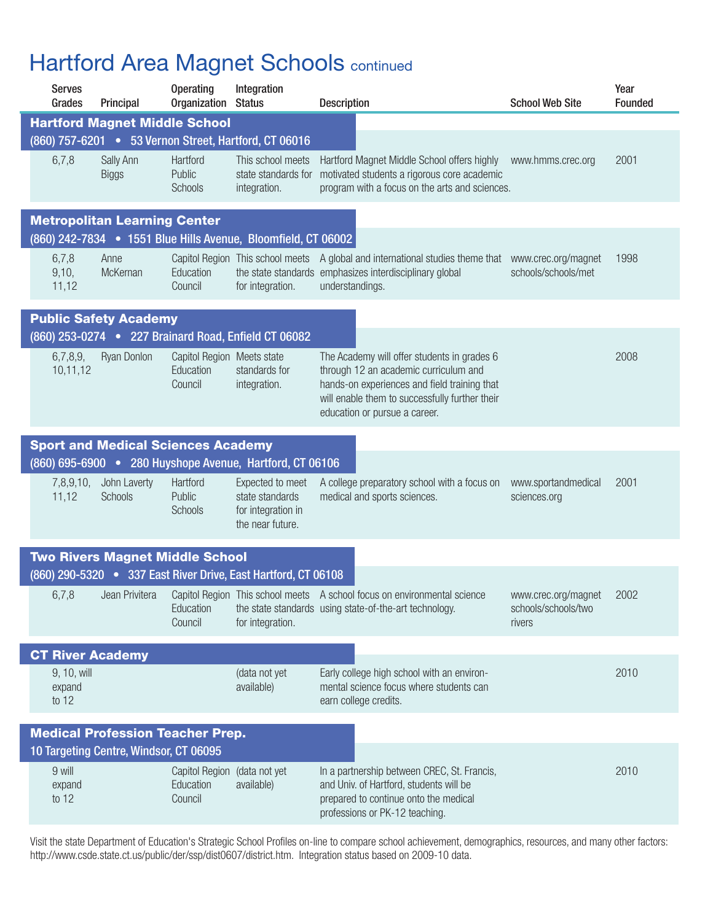## **Hartford Area Magnet Schools continued**

|                         | <b>Serves</b><br>Grades                 | Principal                                 | <b>Operating</b><br>Organization Status              | Integration                                                                   | <b>Description</b>                                                                                                                                                                                                      | <b>School Web Site</b>                               | Year<br><b>Founded</b> |  |  |
|-------------------------|-----------------------------------------|-------------------------------------------|------------------------------------------------------|-------------------------------------------------------------------------------|-------------------------------------------------------------------------------------------------------------------------------------------------------------------------------------------------------------------------|------------------------------------------------------|------------------------|--|--|
|                         |                                         | <b>Hartford Magnet Middle School</b>      |                                                      |                                                                               |                                                                                                                                                                                                                         |                                                      |                        |  |  |
|                         |                                         |                                           |                                                      | (860) 757-6201 . 53 Vernon Street, Hartford, CT 06016                         |                                                                                                                                                                                                                         |                                                      |                        |  |  |
|                         | 6,7,8                                   | Sally Ann<br><b>Biggs</b>                 | Hartford<br>Public<br><b>Schools</b>                 | This school meets<br>state standards for<br>integration.                      | Hartford Magnet Middle School offers highly<br>motivated students a rigorous core academic<br>program with a focus on the arts and sciences.                                                                            | www.hmms.crec.org                                    | 2001                   |  |  |
|                         |                                         | <b>Metropolitan Learning Center</b>       |                                                      |                                                                               |                                                                                                                                                                                                                         |                                                      |                        |  |  |
|                         |                                         |                                           |                                                      | (860) 242-7834 . 1551 Blue Hills Avenue, Bloomfield, CT 06002                 |                                                                                                                                                                                                                         |                                                      |                        |  |  |
|                         | 6,7,8<br>9,10,<br>11,12                 | Anne<br>McKernan                          | Education<br>Council                                 | for integration.                                                              | Capitol Region This school meets A global and international studies theme that www.crec.org/magnet<br>the state standards emphasizes interdisciplinary global<br>understandings.                                        | schools/schools/met                                  | 1998                   |  |  |
|                         |                                         | <b>Public Safety Academy</b>              |                                                      |                                                                               |                                                                                                                                                                                                                         |                                                      |                        |  |  |
|                         |                                         |                                           |                                                      | (860) 253-0274 . 227 Brainard Road, Enfield CT 06082                          |                                                                                                                                                                                                                         |                                                      |                        |  |  |
|                         | 6,7,8,9,<br>10,11,12                    | Ryan Donlon                               | Capitol Region Meets state<br>Education<br>Council   | standards for<br>integration.                                                 | The Academy will offer students in grades 6<br>through 12 an academic curriculum and<br>hands-on experiences and field training that<br>will enable them to successfully further their<br>education or pursue a career. |                                                      | 2008                   |  |  |
|                         |                                         | <b>Sport and Medical Sciences Academy</b> |                                                      |                                                                               |                                                                                                                                                                                                                         |                                                      |                        |  |  |
|                         |                                         |                                           |                                                      | (860) 695-6900 • 280 Huyshope Avenue, Hartford, CT 06106                      |                                                                                                                                                                                                                         |                                                      |                        |  |  |
|                         | 7,8,9,10,<br>11,12                      | John Laverty<br>Schools                   | Hartford<br>Public<br>Schools                        | Expected to meet<br>state standards<br>for integration in<br>the near future. | A college preparatory school with a focus on<br>medical and sports sciences.                                                                                                                                            | www.sportandmedical<br>sciences.org                  | 2001                   |  |  |
|                         |                                         | <b>Two Rivers Magnet Middle School</b>    |                                                      |                                                                               |                                                                                                                                                                                                                         |                                                      |                        |  |  |
|                         |                                         |                                           |                                                      | (860) 290-5320 • 337 East River Drive, East Hartford, CT 06108                |                                                                                                                                                                                                                         |                                                      |                        |  |  |
|                         | 6,7,8                                   | Jean Privitera                            | Education<br>Council                                 | for integration.                                                              | Capitol Region This school meets A school focus on environmental science<br>the state standards using state-of-the-art technology.                                                                                      | www.crec.org/magnet<br>schools/schools/two<br>rivers | 2002                   |  |  |
| <b>CT River Academy</b> |                                         |                                           |                                                      |                                                                               |                                                                                                                                                                                                                         |                                                      |                        |  |  |
|                         | 9, 10, will<br>expand<br>to $12$        |                                           |                                                      | (data not yet<br>available)                                                   | Early college high school with an environ-<br>mental science focus where students can<br>earn college credits.                                                                                                          |                                                      | 2010                   |  |  |
|                         | <b>Medical Profession Teacher Prep.</b> |                                           |                                                      |                                                                               |                                                                                                                                                                                                                         |                                                      |                        |  |  |
|                         |                                         | 10 Targeting Centre, Windsor, CT 06095    |                                                      |                                                                               |                                                                                                                                                                                                                         |                                                      |                        |  |  |
|                         | 9 will<br>expand<br>to $12$             |                                           | Capitol Region (data not yet<br>Education<br>Council | available)                                                                    | In a partnership between CREC, St. Francis,<br>and Univ. of Hartford, students will be<br>prepared to continue onto the medical<br>professions or PK-12 teaching.                                                       |                                                      | 2010                   |  |  |
|                         |                                         |                                           |                                                      |                                                                               |                                                                                                                                                                                                                         |                                                      |                        |  |  |

Visit the state Department of Education's Strategic School Profiles on-line to compare school achievement, demographics, resources, and many other factors: http://www.csde.state.ct.us/public/der/ssp/dist0607/district.htm. Integration status based on 2009-10 data.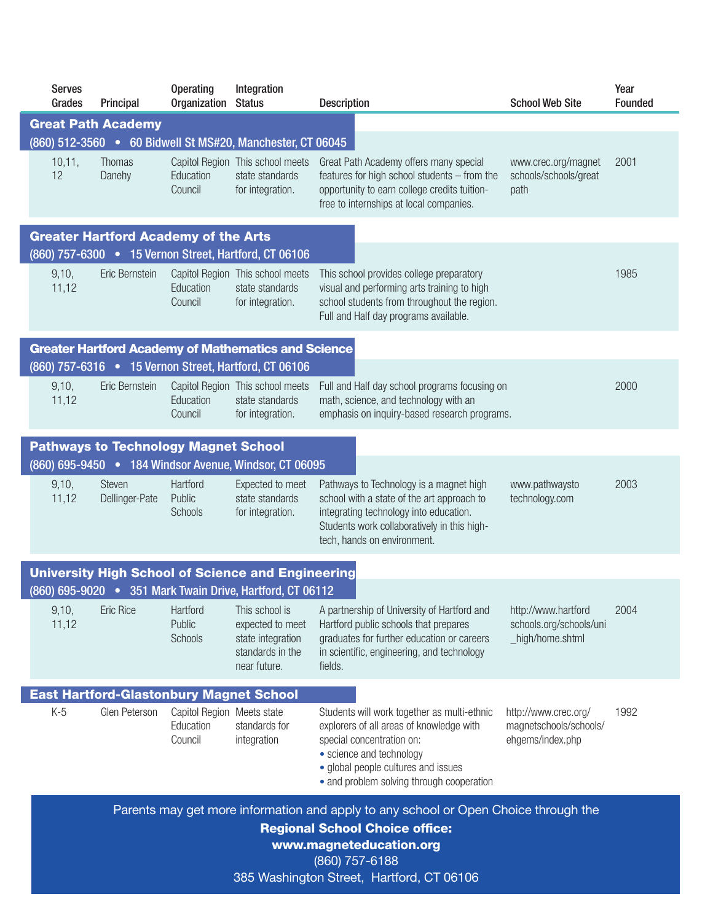| <b>Serves</b><br>Grades                                                                                                                                                                                                | Principal                                      | <b>Operating</b><br>Organization Status            | Integration                                                                                 | <b>Description</b>                                                                                                                                                                                                                   | <b>School Web Site</b>                                             | Year<br>Founded |  |
|------------------------------------------------------------------------------------------------------------------------------------------------------------------------------------------------------------------------|------------------------------------------------|----------------------------------------------------|---------------------------------------------------------------------------------------------|--------------------------------------------------------------------------------------------------------------------------------------------------------------------------------------------------------------------------------------|--------------------------------------------------------------------|-----------------|--|
|                                                                                                                                                                                                                        | <b>Great Path Academy</b>                      |                                                    |                                                                                             |                                                                                                                                                                                                                                      |                                                                    |                 |  |
|                                                                                                                                                                                                                        |                                                |                                                    | (860) 512-3560 • 60 Bidwell St MS#20, Manchester, CT 06045                                  |                                                                                                                                                                                                                                      |                                                                    |                 |  |
| 10,11,<br>12                                                                                                                                                                                                           | Thomas<br>Danehy                               | Education<br>Council                               | Capitol Region This school meets<br>state standards<br>for integration.                     | Great Path Academy offers many special<br>features for high school students - from the<br>opportunity to earn college credits tuition-<br>free to internships at local companies.                                                    | www.crec.org/magnet<br>schools/schools/great<br>path               | 2001            |  |
|                                                                                                                                                                                                                        | <b>Greater Hartford Academy of the Arts</b>    |                                                    |                                                                                             |                                                                                                                                                                                                                                      |                                                                    |                 |  |
|                                                                                                                                                                                                                        |                                                |                                                    | (860) 757-6300 . 15 Vernon Street, Hartford, CT 06106                                       |                                                                                                                                                                                                                                      |                                                                    |                 |  |
| 9,10,<br>11,12                                                                                                                                                                                                         | Eric Bernstein                                 | Education<br>Council                               | Capitol Region This school meets<br>state standards<br>for integration.                     | This school provides college preparatory<br>visual and performing arts training to high<br>school students from throughout the region.<br>Full and Half day programs available.                                                      |                                                                    | 1985            |  |
|                                                                                                                                                                                                                        |                                                |                                                    | <b>Greater Hartford Academy of Mathematics and Science</b>                                  |                                                                                                                                                                                                                                      |                                                                    |                 |  |
|                                                                                                                                                                                                                        |                                                |                                                    | (860) 757-6316 . 15 Vernon Street, Hartford, CT 06106                                       |                                                                                                                                                                                                                                      |                                                                    |                 |  |
| 9,10,<br>11,12                                                                                                                                                                                                         | Eric Bernstein                                 | Education<br>Council                               | Capitol Region This school meets<br>state standards<br>for integration.                     | Full and Half day school programs focusing on<br>math, science, and technology with an<br>emphasis on inquiry-based research programs.                                                                                               |                                                                    | 2000            |  |
|                                                                                                                                                                                                                        | <b>Pathways to Technology Magnet School</b>    |                                                    |                                                                                             |                                                                                                                                                                                                                                      |                                                                    |                 |  |
|                                                                                                                                                                                                                        |                                                |                                                    | (860) 695-9450 . 184 Windsor Avenue, Windsor, CT 06095                                      |                                                                                                                                                                                                                                      |                                                                    |                 |  |
| 9,10,<br>11,12                                                                                                                                                                                                         | <b>Steven</b><br>Dellinger-Pate                | Hartford<br>Public<br>Schools                      | Expected to meet<br>state standards<br>for integration.                                     | Pathways to Technology is a magnet high<br>school with a state of the art approach to<br>integrating technology into education.<br>Students work collaboratively in this high-<br>tech, hands on environment.                        | www.pathwaysto<br>technology.com                                   | 2003            |  |
|                                                                                                                                                                                                                        |                                                |                                                    | <b>University High School of Science and Engineering</b>                                    |                                                                                                                                                                                                                                      |                                                                    |                 |  |
|                                                                                                                                                                                                                        |                                                |                                                    | (860) 695-9020 . 351 Mark Twain Drive, Hartford, CT 06112                                   |                                                                                                                                                                                                                                      |                                                                    |                 |  |
| 9,10,<br>11,12                                                                                                                                                                                                         | <b>Eric Rice</b>                               | Hartford<br>Public<br>Schools                      | This school is<br>expected to meet<br>state integration<br>standards in the<br>near future. | A partnership of University of Hartford and<br>Hartford public schools that prepares<br>graduates for further education or careers<br>in scientific, engineering, and technology<br>fields.                                          | http://www.hartford<br>schools.org/schools/uni<br>_high/home.shtml | 2004            |  |
|                                                                                                                                                                                                                        | <b>East Hartford-Glastonbury Magnet School</b> |                                                    |                                                                                             |                                                                                                                                                                                                                                      |                                                                    |                 |  |
| $K-5$                                                                                                                                                                                                                  | Glen Peterson                                  | Capitol Region Meets state<br>Education<br>Council | standards for<br>integration                                                                | Students will work together as multi-ethnic<br>explorers of all areas of knowledge with<br>special concentration on:<br>• science and technology<br>• global people cultures and issues<br>• and problem solving through cooperation | http://www.crec.org/<br>magnetschools/schools/<br>ehgems/index.php | 1992            |  |
| Parents may get more information and apply to any school or Open Choice through the<br><b>Regional School Choice office:</b><br>www.magneteducation.org<br>(860) 757-6188<br>385 Washington Street, Hartford, CT 06106 |                                                |                                                    |                                                                                             |                                                                                                                                                                                                                                      |                                                                    |                 |  |